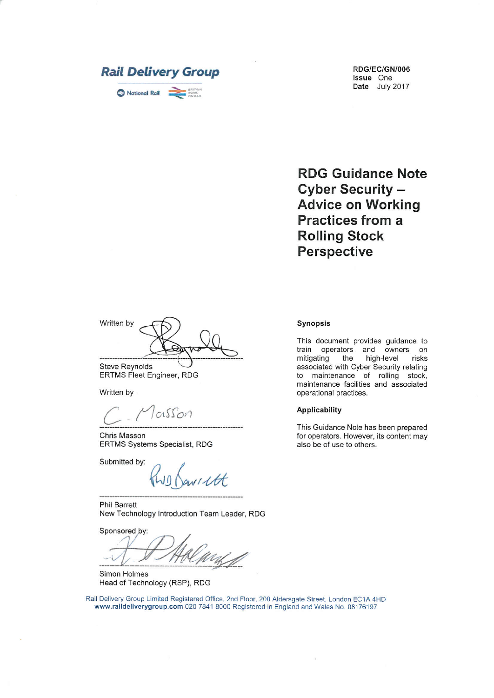

**RDG Guidance Note Cyber Security -Advice on Working Practices from a Rolling Stock Perspective** 

Written by

**Steve Reynolds ERTMS Fleet Engineer, RDG** 

Written by

cisson

Chris Masson ERTMS Systems Specialist, RDG

Submitted by:

NI Ltt

**Phil Barrett** New Technology Introduction Team Leader, RDG

Sponsored by:

Simon Holmes Head of Technology (RSP), RDG

Rail Delivery Group Limited Registered Office, 2nd Floor, 200 Aldersgate Street, London EC1A 4HD www.raildeliverygroup.com 020 7841 8000 Registered in England and Wales No. 08176197

#### Synopsis

This document provides guidance to train operators and owners on mitigating the high-level risks associated with Cyber Security relating to maintenance of rolling stock, maintenance facilities and associated operational practices.

#### **Applicability**

This Guidance Note has been prepared for operators. However, its content may also be of use to others.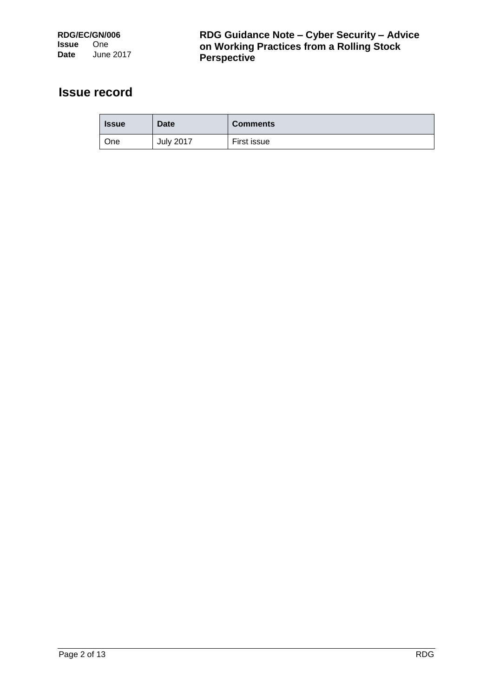## **Issue record**

| <b>Issue</b> | <b>Date</b>      | <b>Comments</b> |
|--------------|------------------|-----------------|
| <b>One</b>   | <b>July 2017</b> | First issue     |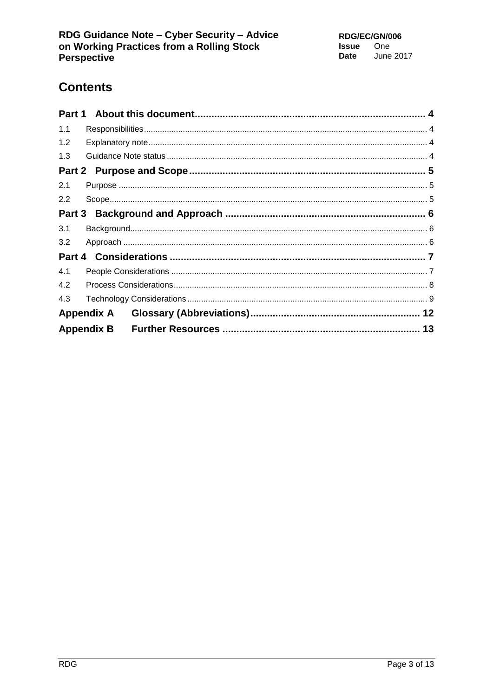# **Contents**

| 1.1 |  |  |  |
|-----|--|--|--|
| 1.2 |  |  |  |
| 1.3 |  |  |  |
|     |  |  |  |
| 2.1 |  |  |  |
| 2.2 |  |  |  |
|     |  |  |  |
| 3.1 |  |  |  |
| 3.2 |  |  |  |
|     |  |  |  |
| 4.1 |  |  |  |
| 4.2 |  |  |  |
| 4.3 |  |  |  |
|     |  |  |  |
|     |  |  |  |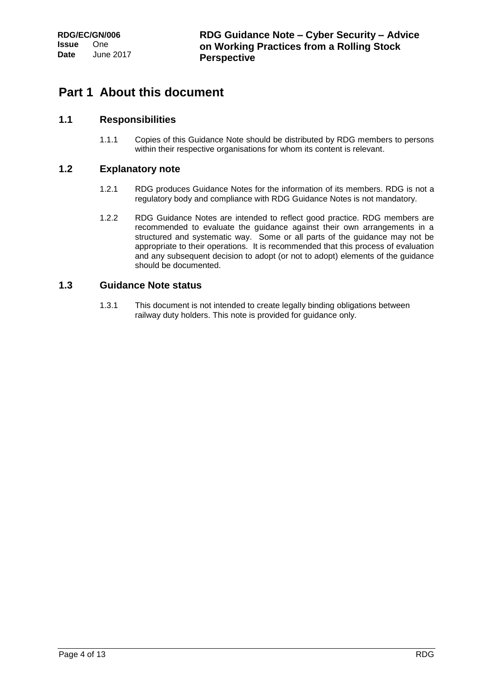## <span id="page-3-0"></span>**Part 1 About this document**

### <span id="page-3-1"></span>**1.1 Responsibilities**

1.1.1 Copies of this Guidance Note should be distributed by RDG members to persons within their respective organisations for whom its content is relevant.

### <span id="page-3-2"></span>**1.2 Explanatory note**

- 1.2.1 RDG produces Guidance Notes for the information of its members. RDG is not a regulatory body and compliance with RDG Guidance Notes is not mandatory.
- 1.2.2 RDG Guidance Notes are intended to reflect good practice. RDG members are recommended to evaluate the guidance against their own arrangements in a structured and systematic way. Some or all parts of the guidance may not be appropriate to their operations. It is recommended that this process of evaluation and any subsequent decision to adopt (or not to adopt) elements of the guidance should be documented.

#### <span id="page-3-3"></span>**1.3 Guidance Note status**

1.3.1 This document is not intended to create legally binding obligations between railway duty holders. This note is provided for guidance only.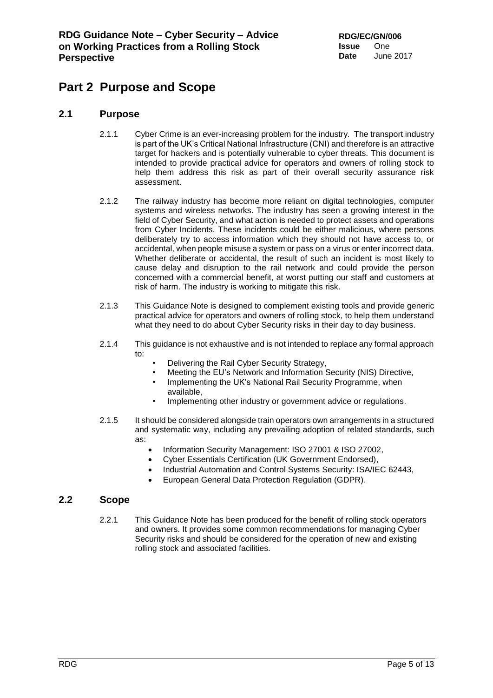## <span id="page-4-0"></span>**Part 2 Purpose and Scope**

### <span id="page-4-1"></span>**2.1 Purpose**

- 2.1.1 Cyber Crime is an ever-increasing problem for the industry. The transport industry is part of the UK's Critical National Infrastructure (CNI) and therefore is an attractive target for hackers and is potentially vulnerable to cyber threats. This document is intended to provide practical advice for operators and owners of rolling stock to help them address this risk as part of their overall security assurance risk assessment.
- 2.1.2 The railway industry has become more reliant on digital technologies, computer systems and wireless networks. The industry has seen a growing interest in the field of Cyber Security, and what action is needed to protect assets and operations from Cyber Incidents. These incidents could be either malicious, where persons deliberately try to access information which they should not have access to, or accidental, when people misuse a system or pass on a virus or enter incorrect data. Whether deliberate or accidental, the result of such an incident is most likely to cause delay and disruption to the rail network and could provide the person concerned with a commercial benefit, at worst putting our staff and customers at risk of harm. The industry is working to mitigate this risk.
- 2.1.3 This Guidance Note is designed to complement existing tools and provide generic practical advice for operators and owners of rolling stock, to help them understand what they need to do about Cyber Security risks in their day to day business.
- 2.1.4 This guidance is not exhaustive and is not intended to replace any formal approach to:
	- Delivering the Rail Cyber Security Strategy,
	- Meeting the EU's Network and Information Security (NIS) Directive,
	- Implementing the UK's National Rail Security Programme, when available,
	- Implementing other industry or government advice or regulations.
- 2.1.5 It should be considered alongside train operators own arrangements in a structured and systematic way, including any prevailing adoption of related standards, such as:
	- Information Security Management: ISO 27001 & ISO 27002,
	- Cyber Essentials Certification (UK Government Endorsed),
	- Industrial Automation and Control Systems Security: ISA/IEC 62443,
	- European General Data Protection Regulation (GDPR).

#### <span id="page-4-2"></span>**2.2 Scope**

2.2.1 This Guidance Note has been produced for the benefit of rolling stock operators and owners. It provides some common recommendations for managing Cyber Security risks and should be considered for the operation of new and existing rolling stock and associated facilities.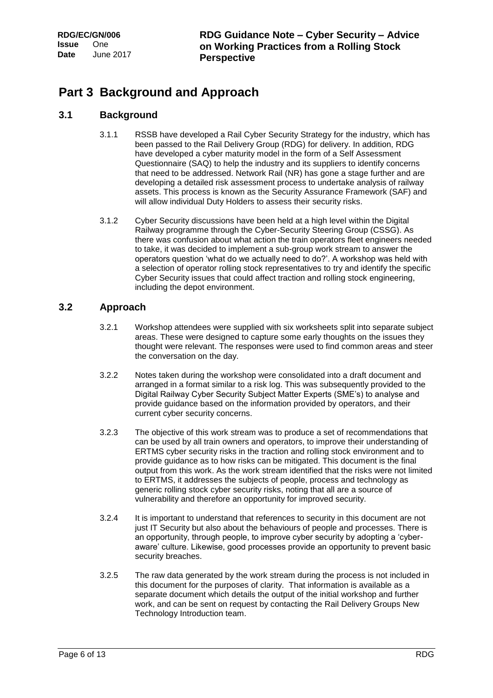## <span id="page-5-0"></span>**Part 3 Background and Approach**

### <span id="page-5-1"></span>**3.1 Background**

- 3.1.1 RSSB have developed a Rail Cyber Security Strategy for the industry, which has been passed to the Rail Delivery Group (RDG) for delivery. In addition, RDG have developed a cyber maturity model in the form of a Self Assessment Questionnaire (SAQ) to help the industry and its suppliers to identify concerns that need to be addressed. Network Rail (NR) has gone a stage further and are developing a detailed risk assessment process to undertake analysis of railway assets. This process is known as the Security Assurance Framework (SAF) and will allow individual Duty Holders to assess their security risks.
- 3.1.2 Cyber Security discussions have been held at a high level within the Digital Railway programme through the Cyber-Security Steering Group (CSSG). As there was confusion about what action the train operators fleet engineers needed to take, it was decided to implement a sub-group work stream to answer the operators question 'what do we actually need to do?'. A workshop was held with a selection of operator rolling stock representatives to try and identify the specific Cyber Security issues that could affect traction and rolling stock engineering, including the depot environment.

### <span id="page-5-2"></span>**3.2 Approach**

- 3.2.1 Workshop attendees were supplied with six worksheets split into separate subject areas. These were designed to capture some early thoughts on the issues they thought were relevant. The responses were used to find common areas and steer the conversation on the day.
- 3.2.2 Notes taken during the workshop were consolidated into a draft document and arranged in a format similar to a risk log. This was subsequently provided to the Digital Railway Cyber Security Subject Matter Experts (SME's) to analyse and provide guidance based on the information provided by operators, and their current cyber security concerns.
- 3.2.3 The objective of this work stream was to produce a set of recommendations that can be used by all train owners and operators, to improve their understanding of ERTMS cyber security risks in the traction and rolling stock environment and to provide guidance as to how risks can be mitigated. This document is the final output from this work. As the work stream identified that the risks were not limited to ERTMS, it addresses the subjects of people, process and technology as generic rolling stock cyber security risks, noting that all are a source of vulnerability and therefore an opportunity for improved security.
- 3.2.4 It is important to understand that references to security in this document are not just IT Security but also about the behaviours of people and processes. There is an opportunity, through people, to improve cyber security by adopting a 'cyberaware' culture. Likewise, good processes provide an opportunity to prevent basic security breaches.
- 3.2.5 The raw data generated by the work stream during the process is not included in this document for the purposes of clarity. That information is available as a separate document which details the output of the initial workshop and further work, and can be sent on request by contacting the Rail Delivery Groups New Technology Introduction team.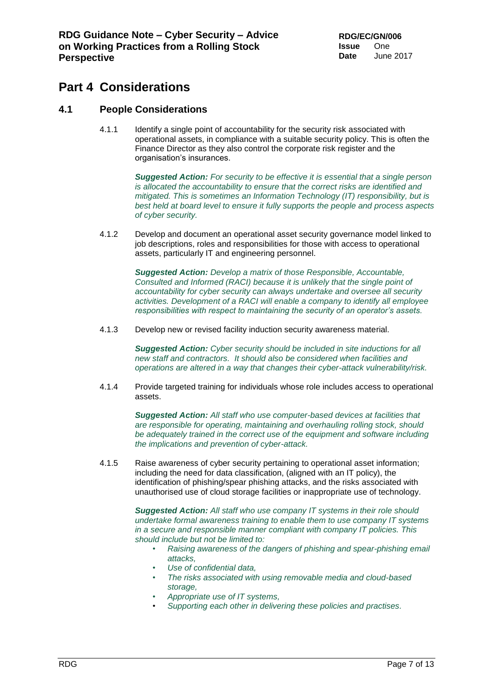## <span id="page-6-0"></span>**Part 4 Considerations**

### <span id="page-6-1"></span>**4.1 People Considerations**

4.1.1 Identify a single point of accountability for the security risk associated with operational assets, in compliance with a suitable security policy. This is often the Finance Director as they also control the corporate risk register and the organisation's insurances.

> *Suggested Action: For security to be effective it is essential that a single person is allocated the accountability to ensure that the correct risks are identified and mitigated. This is sometimes an Information Technology (IT) responsibility, but is best held at board level to ensure it fully supports the people and process aspects of cyber security.*

4.1.2 Develop and document an operational asset security governance model linked to job descriptions, roles and responsibilities for those with access to operational assets, particularly IT and engineering personnel.

> *Suggested Action: Develop a matrix of those Responsible, Accountable, Consulted and Informed (RACI) because it is unlikely that the single point of accountability for cyber security can always undertake and oversee all security activities. Development of a RACI will enable a company to identify all employee responsibilities with respect to maintaining the security of an operator's assets.*

4.1.3 Develop new or revised facility induction security awareness material.

*Suggested Action: Cyber security should be included in site inductions for all new staff and contractors. It should also be considered when facilities and operations are altered in a way that changes their cyber-attack vulnerability/risk.*

4.1.4 Provide targeted training for individuals whose role includes access to operational assets.

> *Suggested Action: All staff who use computer-based devices at facilities that are responsible for operating, maintaining and overhauling rolling stock, should be adequately trained in the correct use of the equipment and software including the implications and prevention of cyber-attack.*

4.1.5 Raise awareness of cyber security pertaining to operational asset information; including the need for data classification, (aligned with an IT policy), the identification of phishing/spear phishing attacks, and the risks associated with unauthorised use of cloud storage facilities or inappropriate use of technology.

> *Suggested Action: All staff who use company IT systems in their role should undertake formal awareness training to enable them to use company IT systems in a secure and responsible manner compliant with company IT policies. This should include but not be limited to:*

- *Raising awareness of the dangers of phishing and spear-phishing email attacks,*
- *Use of confidential data,*
- *The risks associated with using removable media and cloud-based storage,*
- *Appropriate use of IT systems,*
- *Supporting each other in delivering these policies and practises.*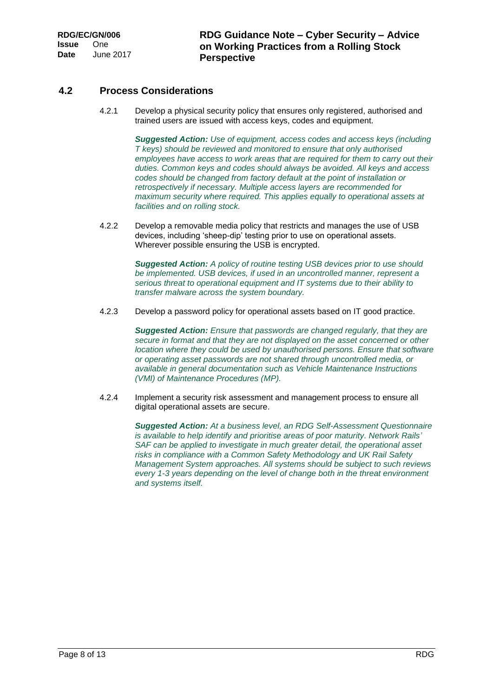### <span id="page-7-0"></span>**4.2 Process Considerations**

4.2.1 Develop a physical security policy that ensures only registered, authorised and trained users are issued with access keys, codes and equipment.

> *Suggested Action: Use of equipment, access codes and access keys (including T keys) should be reviewed and monitored to ensure that only authorised employees have access to work areas that are required for them to carry out their duties. Common keys and codes should always be avoided. All keys and access codes should be changed from factory default at the point of installation or retrospectively if necessary. Multiple access layers are recommended for maximum security where required. This applies equally to operational assets at facilities and on rolling stock.*

4.2.2 Develop a removable media policy that restricts and manages the use of USB devices, including 'sheep-dip' testing prior to use on operational assets. Wherever possible ensuring the USB is encrypted.

> *Suggested Action: A policy of routine testing USB devices prior to use should be implemented. USB devices, if used in an uncontrolled manner, represent a serious threat to operational equipment and IT systems due to their ability to transfer malware across the system boundary.*

4.2.3 Develop a password policy for operational assets based on IT good practice.

*Suggested Action: Ensure that passwords are changed regularly, that they are secure in format and that they are not displayed on the asset concerned or other location where they could be used by unauthorised persons. Ensure that software or operating asset passwords are not shared through uncontrolled media, or available in general documentation such as Vehicle Maintenance Instructions (VMI) of Maintenance Procedures (MP).*

4.2.4 Implement a security risk assessment and management process to ensure all digital operational assets are secure.

> *Suggested Action: At a business level, an RDG Self-Assessment Questionnaire is available to help identify and prioritise areas of poor maturity. Network Rails' SAF can be applied to investigate in much greater detail, the operational asset risks in compliance with a Common Safety Methodology and UK Rail Safety Management System approaches. All systems should be subject to such reviews every 1-3 years depending on the level of change both in the threat environment and systems itself.*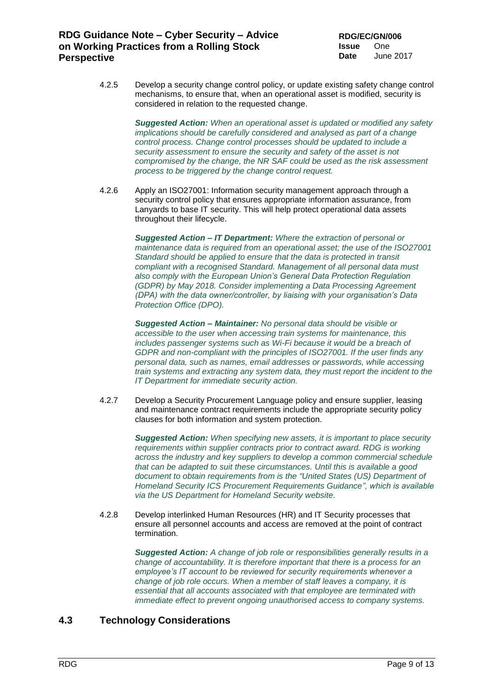4.2.5 Develop a security change control policy, or update existing safety change control mechanisms, to ensure that, when an operational asset is modified, security is considered in relation to the requested change.

> *Suggested Action: When an operational asset is updated or modified any safety implications should be carefully considered and analysed as part of a change control process. Change control processes should be updated to include a security assessment to ensure the security and safety of the asset is not compromised by the change, the NR SAF could be used as the risk assessment process to be triggered by the change control request.*

4.2.6 Apply an ISO27001: Information security management approach through a security control policy that ensures appropriate information assurance, from Lanyards to base IT security. This will help protect operational data assets throughout their lifecycle.

> *Suggested Action – IT Department: Where the extraction of personal or maintenance data is required from an operational asset; the use of the ISO27001 Standard should be applied to ensure that the data is protected in transit compliant with a recognised Standard. Management of all personal data must also comply with the European Union's General Data Protection Regulation (GDPR) by May 2018. Consider implementing a Data Processing Agreement (DPA) with the data owner/controller, by liaising with your organisation's Data Protection Office (DPO).*

> *Suggested Action – Maintainer: No personal data should be visible or accessible to the user when accessing train systems for maintenance, this includes passenger systems such as Wi-Fi because it would be a breach of GDPR and non-compliant with the principles of ISO27001. If the user finds any personal data, such as names, email addresses or passwords, while accessing train systems and extracting any system data, they must report the incident to the IT Department for immediate security action.*

4.2.7 Develop a Security Procurement Language policy and ensure supplier, leasing and maintenance contract requirements include the appropriate security policy clauses for both information and system protection.

> *Suggested Action: When specifying new assets, it is important to place security requirements within supplier contracts prior to contract award. RDG is working across the industry and key suppliers to develop a common commercial schedule that can be adapted to suit these circumstances. Until this is available a good document to obtain requirements from is the "United States (US) Department of Homeland Security ICS Procurement Requirements Guidance", which is available via the US Department for Homeland Security website.*

4.2.8 Develop interlinked Human Resources (HR) and IT Security processes that ensure all personnel accounts and access are removed at the point of contract termination.

> *Suggested Action: A change of job role or responsibilities generally results in a change of accountability. It is therefore important that there is a process for an employee's IT account to be reviewed for security requirements whenever a change of job role occurs. When a member of staff leaves a company, it is essential that all accounts associated with that employee are terminated with immediate effect to prevent ongoing unauthorised access to company systems.*

### <span id="page-8-0"></span>**4.3 Technology Considerations**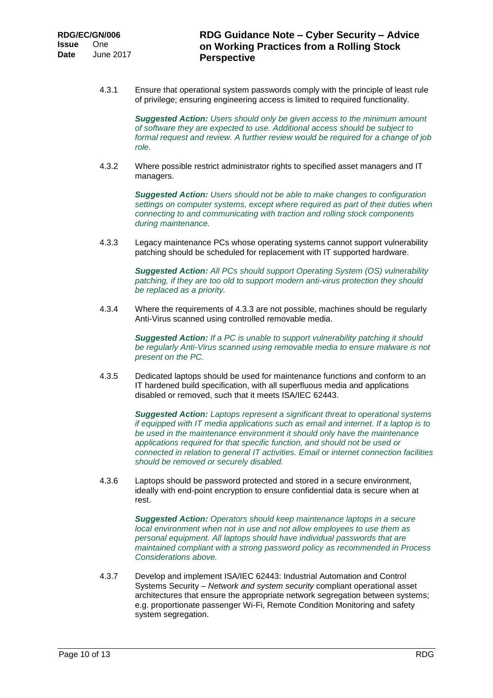4.3.1 Ensure that operational system passwords comply with the principle of least rule of privilege; ensuring engineering access is limited to required functionality.

> *Suggested Action: Users should only be given access to the minimum amount of software they are expected to use. Additional access should be subject to formal request and review. A further review would be required for a change of job role.*

4.3.2 Where possible restrict administrator rights to specified asset managers and IT managers.

> *Suggested Action: Users should not be able to make changes to configuration settings on computer systems, except where required as part of their duties when connecting to and communicating with traction and rolling stock components during maintenance.*

4.3.3 Legacy maintenance PCs whose operating systems cannot support vulnerability patching should be scheduled for replacement with IT supported hardware.

> *Suggested Action: All PCs should support Operating System (OS) vulnerability patching, if they are too old to support modern anti-virus protection they should be replaced as a priority.*

4.3.4 Where the requirements of 4.3.3 are not possible, machines should be regularly Anti-Virus scanned using controlled removable media.

> *Suggested Action: If a PC is unable to support vulnerability patching it should be regularly Anti-Virus scanned using removable media to ensure malware is not present on the PC.*

4.3.5 Dedicated laptops should be used for maintenance functions and conform to an IT hardened build specification, with all superfluous media and applications disabled or removed, such that it meets ISA/IEC 62443.

> *Suggested Action: Laptops represent a significant threat to operational systems if equipped with IT media applications such as email and internet. If a laptop is to be used in the maintenance environment it should only have the maintenance applications required for that specific function, and should not be used or connected in relation to general IT activities. Email or internet connection facilities should be removed or securely disabled.*

4.3.6 Laptops should be password protected and stored in a secure environment, ideally with end-point encryption to ensure confidential data is secure when at rest.

> *Suggested Action: Operators should keep maintenance laptops in a secure local environment when not in use and not allow employees to use them as personal equipment. All laptops should have individual passwords that are maintained compliant with a strong password policy as recommended in Process Considerations above.*

4.3.7 Develop and implement ISA/IEC 62443: Industrial Automation and Control Systems Security *– Network and system security* compliant operational asset architectures that ensure the appropriate network segregation between systems; e.g. proportionate passenger Wi-Fi, Remote Condition Monitoring and safety system segregation.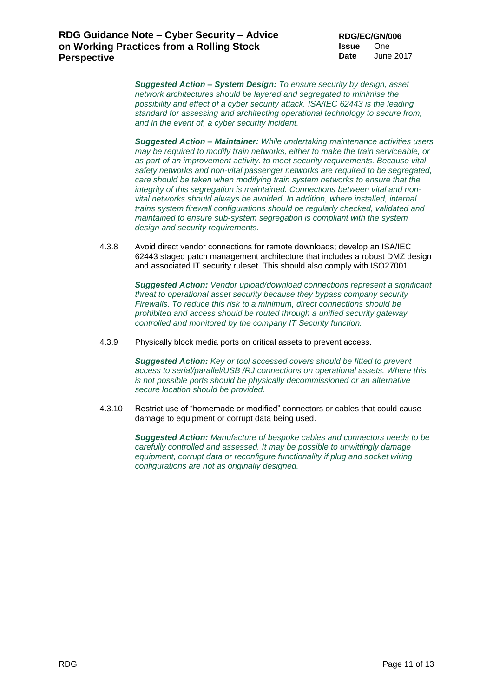*Suggested Action – System Design: To ensure security by design, asset network architectures should be layered and segregated to minimise the possibility and effect of a cyber security attack. ISA/IEC 62443 is the leading standard for assessing and architecting operational technology to secure from, and in the event of, a cyber security incident.*

*Suggested Action – Maintainer: While undertaking maintenance activities users may be required to modify train networks, either to make the train serviceable, or as part of an improvement activity. to meet security requirements. Because vital safety networks and non-vital passenger networks are required to be segregated, care should be taken when modifying train system networks to ensure that the integrity of this segregation is maintained. Connections between vital and nonvital networks should always be avoided. In addition, where installed, internal trains system firewall configurations should be regularly checked, validated and maintained to ensure sub-system segregation is compliant with the system design and security requirements.*

4.3.8 Avoid direct vendor connections for remote downloads; develop an ISA/IEC 62443 staged patch management architecture that includes a robust DMZ design and associated IT security ruleset. This should also comply with ISO27001.

> *Suggested Action: Vendor upload/download connections represent a significant threat to operational asset security because they bypass company security Firewalls. To reduce this risk to a minimum, direct connections should be prohibited and access should be routed through a unified security gateway controlled and monitored by the company IT Security function.*

4.3.9 Physically block media ports on critical assets to prevent access.

*Suggested Action: Key or tool accessed covers should be fitted to prevent access to serial/parallel/USB /RJ connections on operational assets. Where this is not possible ports should be physically decommissioned or an alternative secure location should be provided.*

4.3.10 Restrict use of "homemade or modified" connectors or cables that could cause damage to equipment or corrupt data being used.

> *Suggested Action: Manufacture of bespoke cables and connectors needs to be carefully controlled and assessed. It may be possible to unwittingly damage*  equipment, corrupt data or reconfigure functionality if plug and socket wiring *configurations are not as originally designed.*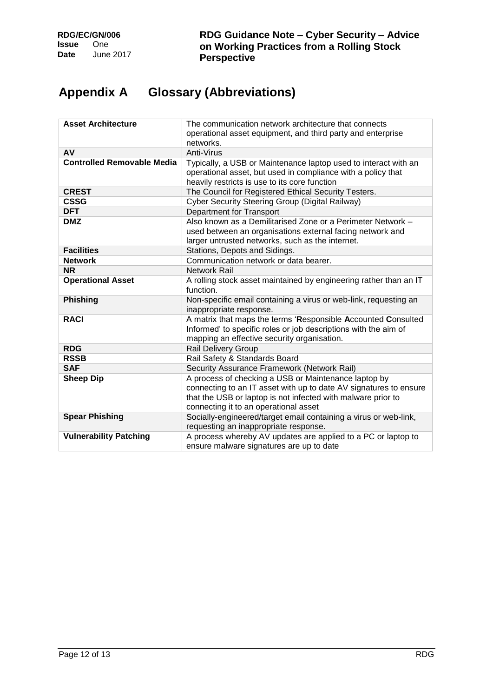# <span id="page-11-0"></span>**Appendix A Glossary (Abbreviations)**

| <b>Asset Architecture</b>         | The communication network architecture that connects<br>operational asset equipment, and third party and enterprise<br>networks.                                                                                                   |
|-----------------------------------|------------------------------------------------------------------------------------------------------------------------------------------------------------------------------------------------------------------------------------|
| AV                                | Anti-Virus                                                                                                                                                                                                                         |
| <b>Controlled Removable Media</b> | Typically, a USB or Maintenance laptop used to interact with an<br>operational asset, but used in compliance with a policy that<br>heavily restricts is use to its core function                                                   |
| <b>CREST</b>                      | The Council for Registered Ethical Security Testers.                                                                                                                                                                               |
| <b>CSSG</b>                       | Cyber Security Steering Group (Digital Railway)                                                                                                                                                                                    |
| <b>DFT</b>                        | <b>Department for Transport</b>                                                                                                                                                                                                    |
| <b>DMZ</b>                        | Also known as a Demilitarised Zone or a Perimeter Network -<br>used between an organisations external facing network and<br>larger untrusted networks, such as the internet.                                                       |
| <b>Facilities</b>                 | Stations, Depots and Sidings.                                                                                                                                                                                                      |
| <b>Network</b>                    | Communication network or data bearer.                                                                                                                                                                                              |
| <b>NR</b>                         | <b>Network Rail</b>                                                                                                                                                                                                                |
| <b>Operational Asset</b>          | A rolling stock asset maintained by engineering rather than an IT<br>function.                                                                                                                                                     |
| <b>Phishing</b>                   | Non-specific email containing a virus or web-link, requesting an<br>inappropriate response.                                                                                                                                        |
| <b>RACI</b>                       | A matrix that maps the terms 'Responsible Accounted Consulted<br>Informed' to specific roles or job descriptions with the aim of<br>mapping an effective security organisation.                                                    |
| <b>RDG</b>                        | <b>Rail Delivery Group</b>                                                                                                                                                                                                         |
| <b>RSSB</b>                       | Rail Safety & Standards Board                                                                                                                                                                                                      |
| <b>SAF</b>                        | Security Assurance Framework (Network Rail)                                                                                                                                                                                        |
| <b>Sheep Dip</b>                  | A process of checking a USB or Maintenance laptop by<br>connecting to an IT asset with up to date AV signatures to ensure<br>that the USB or laptop is not infected with malware prior to<br>connecting it to an operational asset |
| <b>Spear Phishing</b>             | Socially-engineered/target email containing a virus or web-link,<br>requesting an inappropriate response.                                                                                                                          |
| <b>Vulnerability Patching</b>     | A process whereby AV updates are applied to a PC or laptop to<br>ensure malware signatures are up to date                                                                                                                          |